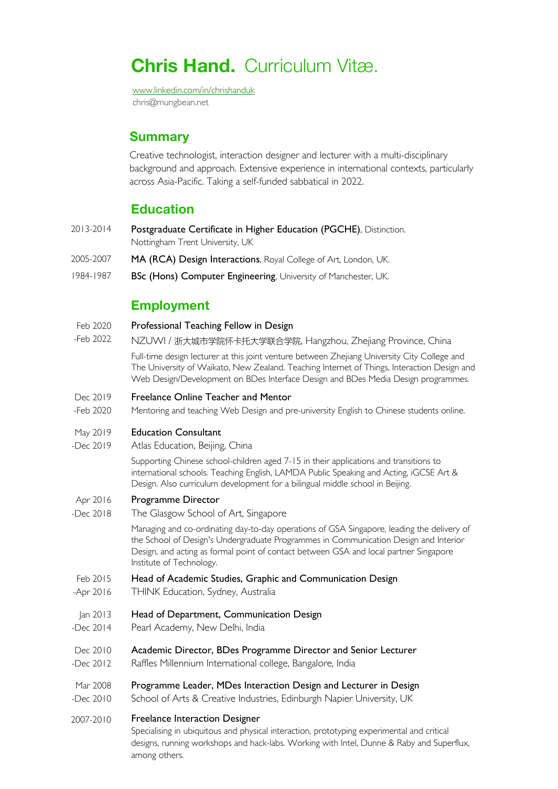# **Chris Hand.** Curriculum Vitæ.

www.linkedin.com/in/chrishanduk chris@mungbean.net

### **Summary**

Creative technologist, interaction designer and lecturer with a multi-disciplinary background and approach. Extensive experience in international contexts, particularly across Asia-Pacific. Taking a self-funded sabbatical in 2022.

### **Education**

- 2013-2014 Postgraduate Certificate in Higher Education (PGCHE), Distinction. Nottingham Trent University, UK
- 2005-2007 MA (RCA) Design Interactions, Royal College of Art, London, UK.
- 1984-1987 BSc (Hons) Computer Engineering, University of Manchester, UK.

### **Employment**

- Feb 2020 Professional Teaching Fellow in Design
- -Feb 2022 NZUWI / 浙大城市学院怀卡托大学联合学院, Hangzhou, Zhejiang Province, China

Full-time design lecturer at this joint venture between Zhejiang University City College and The University of Waikato, New Zealand. Teaching Internet of Things, Interaction Design and Web Design/Development on BDes Interface Design and BDes Media Design programmes.

#### Dec 2019 Freelance Online Teacher and Mentor

-Feb 2020 Mentoring and teaching Web Design and pre-university English to Chinese students online.

#### May 2019 Education Consultant

-Dec 2019 Atlas Education, Beijing, China

> Supporting Chinese school-children aged 7-15 in their applications and transitions to international schools. Teaching English, LAMDA Public Speaking and Acting, iGCSE Art & Design. Also curriculum development for a bilingual middle school in Beijing.

#### Apr 2016 Programme Director

-Dec 2018 The Glasgow School of Art, Singapore

> Managing and co-ordinating day-to-day operations of GSA Singapore, leading the delivery of the School of Design's Undergraduate Programmes in Communication Design and Interior Design, and acting as formal point of contact between GSA and local partner Singapore Institute of Technology.

- Feb 2015 Head of Academic Studies, Graphic and Communication Design
- -Apr 2016 THINK Education, Sydney, Australia
- Jan 2013 Head of Department, Communication Design
- -Dec 2014 Pearl Academy, New Delhi, India
- Dec 2010 Academic Director, BDes Programme Director and Senior Lecturer
- -Dec 2012 Raffles Millennium International college, Bangalore, India
- Mar 2008 Programme Leader, MDes Interaction Design and Lecturer in Design
- -Dec 2010 School of Arts & Creative Industries, Edinburgh Napier University, UK
- 2007-2010 Freelance Interaction Designer

Specialising in ubiquitous and physical interaction, prototyping experimental and critical designs, running workshops and hack-labs. Working with Intel, Dunne & Raby and Superflux, among others.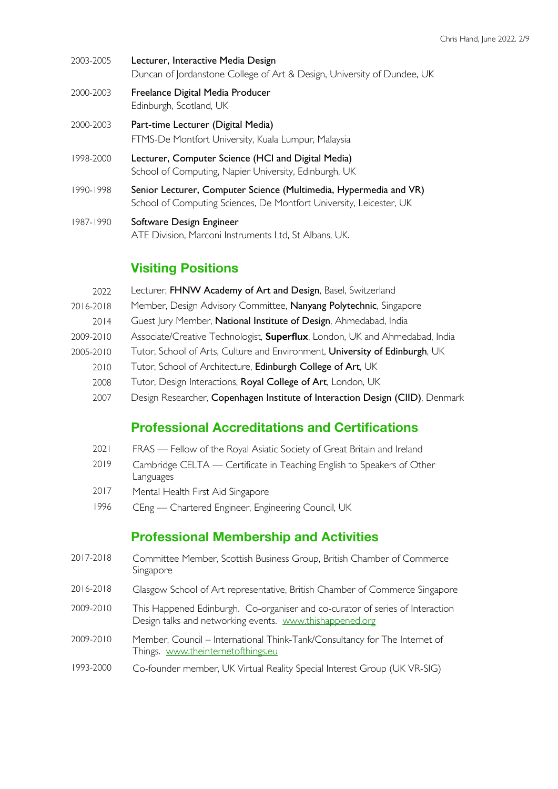- 2003-2005 Lecturer, Interactive Media Design Duncan of Jordanstone College of Art & Design, University of Dundee, UK
- 2000-2003 Freelance Digital Media Producer Edinburgh, Scotland, UK
- 2000-2003 Part-time Lecturer (Digital Media) FTMS-De Montfort University, Kuala Lumpur, Malaysia
- 1998-2000 Lecturer, Computer Science (HCI and Digital Media) School of Computing, Napier University, Edinburgh, UK
- 1990-1998 Senior Lecturer, Computer Science (Multimedia, Hypermedia and VR) School of Computing Sciences, De Montfort University, Leicester, UK
- 1987-1990 Software Design Engineer ATE Division, Marconi Instruments Ltd, St Albans, UK.

## **Visiting Positions**

- 2022 Lecturer, FHNW Academy of Art and Design, Basel, Switzerland
- 2016-2018 Member, Design Advisory Committee, Nanyang Polytechnic, Singapore
- 2014 Guest Jury Member, National Institute of Design, Ahmedabad, India
- 2009-2010 Associate/Creative Technologist, **Superflux**, London, UK and Ahmedabad, India
- 2005-2010 Tutor, School of Arts, Culture and Environment, University of Edinburgh, UK
	- 2010 Tutor, School of Architecture, Edinburgh College of Art, UK
	- 2008 Tutor, Design Interactions, Royal College of Art, London, UK
	- 2007 Design Researcher, Copenhagen Institute of Interaction Design (CIID), Denmark

### **Professional Accreditations and Certifications**

- 2021 FRAS Fellow of the Royal Asiatic Society of Great Britain and Ireland
- 2019 Cambridge CELTA Certificate in Teaching English to Speakers of Other Languages
- 2017 Mental Health First Aid Singapore
- 1996 CEng Chartered Engineer, Engineering Council, UK

### **Professional Membership and Activities**

- 2017-2018 Committee Member, Scottish Business Group, British Chamber of Commerce Singapore
- 2016-2018 Glasgow School of Art representative, British Chamber of Commerce Singapore
- 2009-2010 This Happened Edinburgh. Co-organiser and co-curator of series of Interaction Design talks and networking events. www.thishappened.org
- 2009-2010 Member, Council International Think-Tank/Consultancy for The Internet of Things. www.theinternetofthings.eu
- 1993-2000 Co-founder member, UK Virtual Reality Special Interest Group (UK VR-SIG)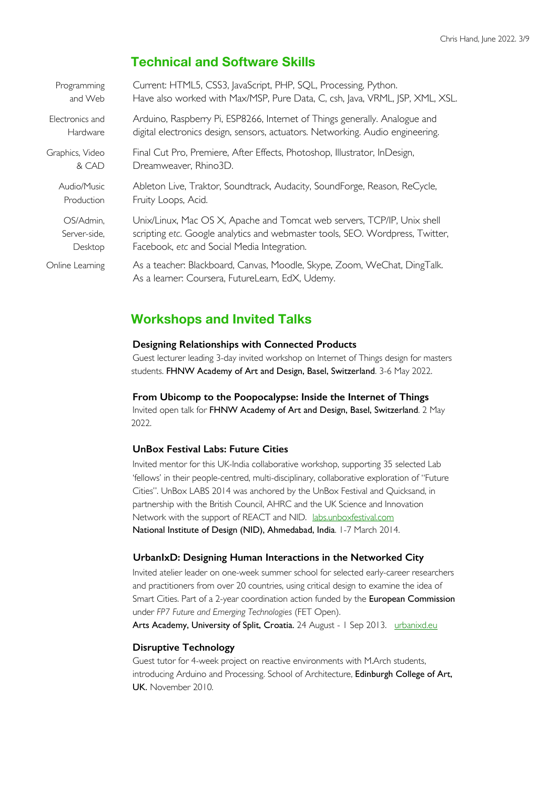### **Technical and Software Skills**

| Programming     | Current: HTML5, CSS3, JavaScript, PHP, SQL, Processing, Python.                                                              |
|-----------------|------------------------------------------------------------------------------------------------------------------------------|
| and Web         | Have also worked with Max/MSP, Pure Data, C, csh, Java, VRML, JSP, XML, XSL.                                                 |
| Electronics and | Arduino, Raspberry Pi, ESP8266, Internet of Things generally. Analogue and                                                   |
| Hardware        | digital electronics design, sensors, actuators. Networking. Audio engineering.                                               |
| Graphics, Video | Final Cut Pro, Premiere, After Effects, Photoshop, Illustrator, InDesign,                                                    |
| & CAD           | Dreamweaver, Rhino3D.                                                                                                        |
| Audio/Music     | Ableton Live, Traktor, Soundtrack, Audacity, SoundForge, Reason, ReCycle,                                                    |
| Production      | Fruity Loops, Acid.                                                                                                          |
| OS/Admin,       | Unix/Linux, Mac OS X, Apache and Tomcat web servers, TCP/IP, Unix shell                                                      |
| Server-side,    | scripting etc. Google analytics and webmaster tools, SEO. Wordpress, Twitter,                                                |
| Desktop         | Facebook, etc and Social Media Integration.                                                                                  |
| Online Learning | As a teacher: Blackboard, Canvas, Moodle, Skype, Zoom, WeChat, DingTalk.<br>As a learner: Coursera, FutureLearn, EdX, Udemy. |

### **Workshops and Invited Talks**

#### **Designing Relationships with Connected Products**

Guest lecturer leading 3-day invited workshop on Internet of Things design for masters students. FHNW Academy of Art and Design, Basel, Switzerland. 3-6 May 2022.

#### **From Ubicomp to the Poopocalypse: Inside the Internet of Things**

Invited open talk for FHNW Academy of Art and Design, Basel, Switzerland. 2 May 2022.

#### **UnBox Festival Labs: Future Cities**

Invited mentor for this UK-India collaborative workshop, supporting 35 selected Lab 'fellows' in their people-centred, multi-disciplinary, collaborative exploration of "Future Cities". UnBox LABS 2014 was anchored by the UnBox Festival and Quicksand, in partnership with the British Council, AHRC and the UK Science and Innovation Network with the support of REACT and NID. labs.unboxfestival.com National Institute of Design (NID), Ahmedabad, India. 1-7 March 2014.

#### **UrbanIxD: Designing Human Interactions in the Networked City**

Invited atelier leader on one-week summer school for selected early-career researchers and practitioners from over 20 countries, using critical design to examine the idea of Smart Cities. Part of a 2-year coordination action funded by the European Commission under *FP7 Future and Emerging Technologies* (FET Open). Arts Academy, University of Split, Croatia. 24 August - 1 Sep 2013. urbanixd.eu

#### **Disruptive Technology**

Guest tutor for 4-week project on reactive environments with M.Arch students, introducing Arduino and Processing. School of Architecture, Edinburgh College of Art, UK. November 2010.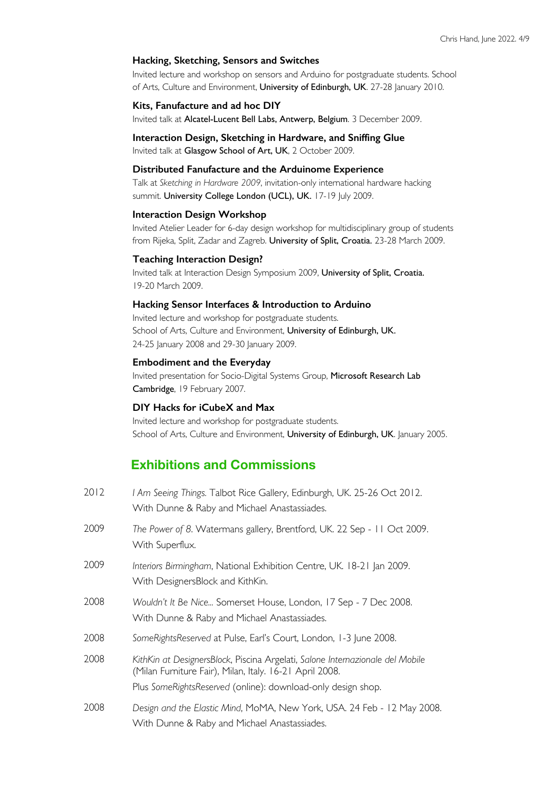#### **Hacking, Sketching, Sensors and Switches**

Invited lecture and workshop on sensors and Arduino for postgraduate students. School of Arts, Culture and Environment, University of Edinburgh, UK. 27-28 January 2010.

#### **Kits, Fanufacture and ad hoc DIY**

Invited talk at Alcatel-Lucent Bell Labs, Antwerp, Belgium. 3 December 2009.

#### **Interaction Design, Sketching in Hardware, and Sniffing Glue** Invited talk at Glasgow School of Art, UK, 2 October 2009.

#### **Distributed Fanufacture and the Arduinome Experience**

Talk at *Sketching in Hardware 2009*, invitation-only international hardware hacking summit. University College London (UCL), UK. 17-19 July 2009.

#### **Interaction Design Workshop**

Invited Atelier Leader for 6-day design workshop for multidisciplinary group of students from Rijeka, Split, Zadar and Zagreb. University of Split, Croatia. 23-28 March 2009.

#### **Teaching Interaction Design?**

Invited talk at Interaction Design Symposium 2009, University of Split, Croatia. 19-20 March 2009.

#### **Hacking Sensor Interfaces & Introduction to Arduino**

Invited lecture and workshop for postgraduate students. School of Arts, Culture and Environment, University of Edinburgh, UK. 24-25 January 2008 and 29-30 January 2009.

#### **Embodiment and the Everyday**

Invited presentation for Socio-Digital Systems Group, Microsoft Research Lab Cambridge, 19 February 2007.

#### **DIY Hacks for iCubeX and Max**

Invited lecture and workshop for postgraduate students. School of Arts, Culture and Environment, University of Edinburgh, UK. January 2005.

### **Exhibitions and Commissions**

| 2012 | I Am Seeing Things. Talbot Rice Gallery, Edinburgh, UK. 25-26 Oct 2012.<br>With Dunne & Raby and Michael Anastassiades.                                                                                  |
|------|----------------------------------------------------------------------------------------------------------------------------------------------------------------------------------------------------------|
| 2009 | The Power of 8. Watermans gallery, Brentford, UK. 22 Sep - 11 Oct 2009.<br>With Superflux.                                                                                                               |
| 2009 | Interiors Birmingham, National Exhibition Centre, UK. 18-21 Jan 2009.<br>With DesignersBlock and KithKin.                                                                                                |
| 2008 | Wouldn't It Be Nice Somerset House, London, 17 Sep - 7 Dec 2008.<br>With Dunne & Raby and Michael Anastassiades.                                                                                         |
| 2008 | SomeRightsReserved at Pulse, Earl's Court, London, 1-3 June 2008.                                                                                                                                        |
| 2008 | KithKin at DesignersBlock, Piscina Argelati, Salone Internazionale del Mobile<br>(Milan Furniture Fair), Milan, Italy. 16-21 April 2008.<br>Plus SomeRightsReserved (online): download-only design shop. |
| 2008 | Design and the Elastic Mind, MoMA, New York, USA. 24 Feb - 12 May 2008.<br>With Dunne & Raby and Michael Anastassiades.                                                                                  |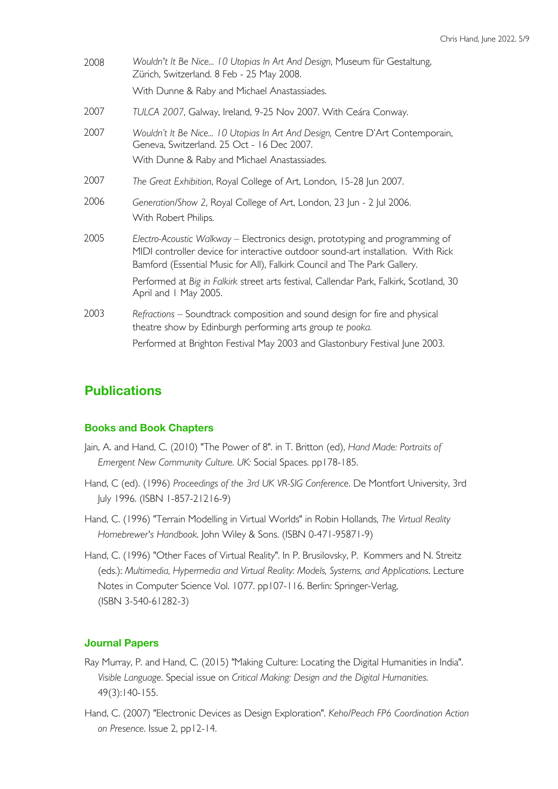| 2008 | Wouldn't It Be Nice 10 Utopias In Art And Design, Museum für Gestaltung,<br>Zürich, Switzerland. 8 Feb - 25 May 2008.<br>With Dunne & Raby and Michael Anastassiades.                                                                         |
|------|-----------------------------------------------------------------------------------------------------------------------------------------------------------------------------------------------------------------------------------------------|
| 2007 | TULCA 2007, Galway, Ireland, 9-25 Nov 2007. With Ceára Conway.                                                                                                                                                                                |
| 2007 | Wouldn't It Be Nice 10 Utopias In Art And Design, Centre D'Art Contemporain,<br>Geneva, Switzerland. 25 Oct - 16 Dec 2007.<br>With Dunne & Raby and Michael Anastassiades.                                                                    |
| 2007 | The Great Exhibition, Royal College of Art, London, 15-28 Jun 2007.                                                                                                                                                                           |
| 2006 | Generation/Show 2, Royal College of Art, London, 23 Jun - 2 Jul 2006.<br>With Robert Philips.                                                                                                                                                 |
| 2005 | Electro-Acoustic Walkway - Electronics design, prototyping and programming of<br>MIDI controller device for interactive outdoor sound-art installation. With Rick<br>Bamford (Essential Music for All), Falkirk Council and The Park Gallery. |
|      | Performed at Big in Falkirk street arts festival, Callendar Park, Falkirk, Scotland, 30<br>April and 1 May 2005.                                                                                                                              |
| 2003 | Refractions – Soundtrack composition and sound design for fire and physical<br>theatre show by Edinburgh performing arts group te pooka.                                                                                                      |
|      | Performed at Brighton Festival May 2003 and Glastonbury Festival June 2003.                                                                                                                                                                   |

## **Publications**

### **Books and Book Chapters**

- Jain, A. and Hand, C. (2010) "The Power of 8". in T. Britton (ed), *Hand Made: Portraits of Emergent New Community Culture. UK:* Social Spaces. pp178-185.
- Hand, C (ed). (1996) *Proceedings of the 3rd UK VR-SIG Conference*. De Montfort University, 3rd July 1996. (ISBN 1-857-21216-9)
- Hand, C. (1996) "Terrain Modelling in Virtual Worlds" in Robin Hollands, *The Virtual Reality Homebrewer's Handbook*. John Wiley & Sons. (ISBN 0-471-95871-9)
- Hand, C. (1996) "Other Faces of Virtual Reality". In P. Brusilovsky, P. Kommers and N. Streitz (eds.): *Multimedia, Hypermedia and Virtual Reality: Models, Systems, and Applications*. Lecture Notes in Computer Science Vol. 1077. pp107-116. Berlin: Springer-Verlag, (ISBN 3-540-61282-3)

### **Journal Papers**

- Ray Murray, P. and Hand, C. (2015) "Making Culture: Locating the Digital Humanities in India". *Visible Language*. Special issue on *Critical Making: Design and the Digital Humanities*. 49(3):140-155.
- Hand, C. (2007) "Electronic Devices as Design Exploration". *Keho/Peach FP6 Coordination Action on Presence*. Issue 2, pp12-14.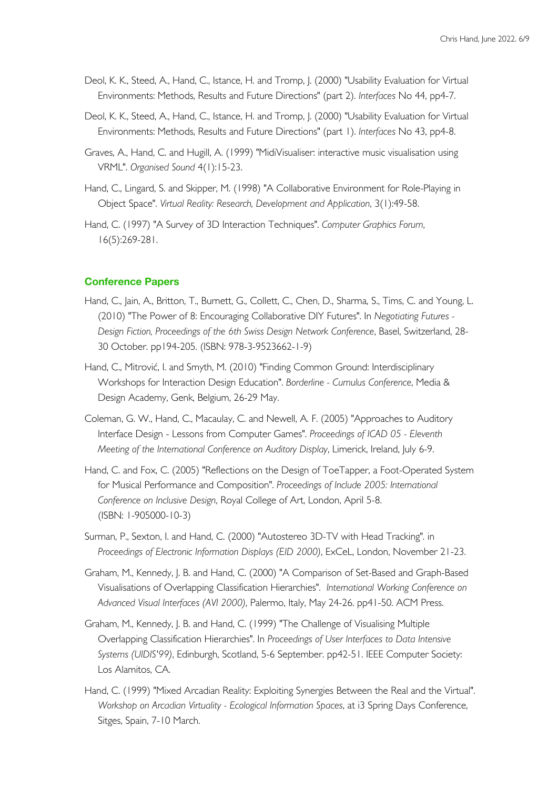- Deol, K. K., Steed, A., Hand, C., Istance, H. and Tromp, J. (2000) "Usability Evaluation for Virtual Environments: Methods, Results and Future Directions" (part 2). *Interfaces* No 44, pp4-7.
- Deol, K. K., Steed, A., Hand, C., Istance, H. and Tromp, J. (2000) "Usability Evaluation for Virtual Environments: Methods, Results and Future Directions" (part 1). *Interfaces* No 43, pp4-8.
- Graves, A., Hand, C. and Hugill, A. (1999) "MidiVisualiser: interactive music visualisation using VRML". *Organised Sound* 4(1):15-23.
- Hand, C., Lingard, S. and Skipper, M. (1998) "A Collaborative Environment for Role-Playing in Object Space". *Virtual Reality: Research, Development and Application*, 3(1):49-58.
- Hand, C. (1997) "A Survey of 3D Interaction Techniques". *Computer Graphics Forum*, 16(5):269-281.

#### **Conference Papers**

- Hand, C., Jain, A., Britton, T., Burnett, G., Collett, C., Chen, D., Sharma, S., Tims, C. and Young, L. (2010) "The Power of 8: Encouraging Collaborative DIY Futures". In *Negotiating Futures - Design Fiction, Proceedings of the 6th Swiss Design Network Conference*, Basel, Switzerland, 28- 30 October. pp194-205. (ISBN: 978-3-9523662-1-9)
- Hand, C., Mitrović, I. and Smyth, M. (2010) "Finding Common Ground: Interdisciplinary Workshops for Interaction Design Education". *Borderline - Cumulus Conference*, Media & Design Academy, Genk, Belgium, 26-29 May.
- Coleman, G. W., Hand, C., Macaulay, C. and Newell, A. F. (2005) "Approaches to Auditory Interface Design - Lessons from Computer Games". *Proceedings of ICAD 05 - Eleventh Meeting of the International Conference on Auditory Display*, Limerick, Ireland, July 6-9.
- Hand, C. and Fox, C. (2005) "Reflections on the Design of ToeTapper, a Foot-Operated System for Musical Performance and Composition". *Proceedings of Include 2005: International Conference on Inclusive Design*, Royal College of Art, London, April 5-8. (ISBN: 1-905000-10-3)
- Surman, P., Sexton, I. and Hand, C. (2000) "Autostereo 3D-TV with Head Tracking". in *Proceedings of Electronic Information Displays (EID 2000)*, ExCeL, London, November 21-23.
- Graham, M., Kennedy, J. B. and Hand, C. (2000) "A Comparison of Set-Based and Graph-Based Visualisations of Overlapping Classification Hierarchies". *International Working Conference on Advanced Visual Interfaces (AVI 2000)*, Palermo, Italy, May 24-26. pp41-50. ACM Press.
- Graham, M., Kennedy, J. B. and Hand, C. (1999) "The Challenge of Visualising Multiple Overlapping Classification Hierarchies". In *Proceedings of User Interfaces to Data Intensive Systems (UIDIS'99)*, Edinburgh, Scotland, 5-6 September. pp42-51. IEEE Computer Society: Los Alamitos, CA.
- Hand, C. (1999) "Mixed Arcadian Reality: Exploiting Synergies Between the Real and the Virtual". *Workshop on Arcadian Virtuality - Ecological Information Spaces*, at i3 Spring Days Conference, Sitges, Spain, 7-10 March.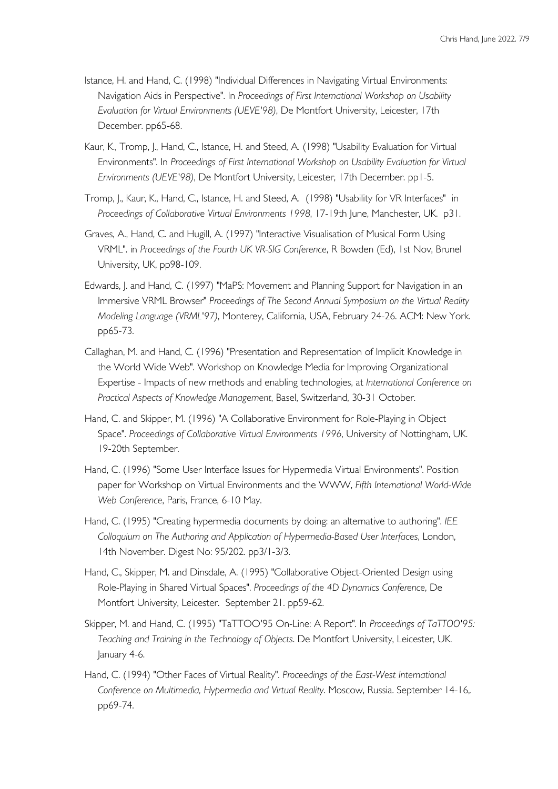- Istance, H. and Hand, C. (1998) "Individual Differences in Navigating Virtual Environments: Navigation Aids in Perspective". In *Proceedings of First International Workshop on Usability Evaluation for Virtual Environments (UEVE'98)*, De Montfort University, Leicester, 17th December. pp65-68.
- Kaur, K., Tromp, J., Hand, C., Istance, H. and Steed, A. (1998) "Usability Evaluation for Virtual Environments". In *Proceedings of First International Workshop on Usability Evaluation for Virtual Environments (UEVE'98)*, De Montfort University, Leicester, 17th December. pp1-5.
- Tromp, J., Kaur, K., Hand, C., Istance, H. and Steed, A. (1998) "Usability for VR Interfaces" in *Proceedings of Collaborative Virtual Environments 1998*, 17-19th June, Manchester, UK. p31.
- Graves, A., Hand, C. and Hugill, A. (1997) "Interactive Visualisation of Musical Form Using VRML". in *Proceedings of the Fourth UK VR-SIG Conference*, R Bowden (Ed), 1st Nov, Brunel University, UK, pp98-109.
- Edwards, J. and Hand, C. (1997) "MaPS: Movement and Planning Support for Navigation in an Immersive VRML Browser" *Proceedings of The Second Annual Symposium on the Virtual Reality Modeling Language (VRML'97)*, Monterey, California, USA, February 24-26. ACM: New York. pp65-73.
- Callaghan, M. and Hand, C. (1996) "Presentation and Representation of Implicit Knowledge in the World Wide Web". Workshop on Knowledge Media for Improving Organizational Expertise - Impacts of new methods and enabling technologies, at *International Conference on Practical Aspects of Knowledge Management*, Basel, Switzerland, 30-31 October.
- Hand, C. and Skipper, M. (1996) "A Collaborative Environment for Role-Playing in Object Space". *Proceedings of Collaborative Virtual Environments 1996*, University of Nottingham, UK. 19-20th September.
- Hand, C. (1996) "Some User Interface Issues for Hypermedia Virtual Environments". Position paper for Workshop on Virtual Environments and the WWW, *Fifth International World-Wide Web Conference*, Paris, France, 6-10 May.
- Hand, C. (1995) "Creating hypermedia documents by doing: an alternative to authoring". *IEE Colloquium on The Authoring and Application of Hypermedia-Based User Interfaces*, London, 14th November. Digest No: 95/202. pp3/1-3/3.
- Hand, C., Skipper, M. and Dinsdale, A. (1995) "Collaborative Object-Oriented Design using Role-Playing in Shared Virtual Spaces". *Proceedings of the 4D Dynamics Conference*, De Montfort University, Leicester. September 21. pp59-62.
- Skipper, M. and Hand, C. (1995) "TaTTOO'95 On-Line: A Report". In *Proceedings of TaTTOO'95: Teaching and Training in the Technology of Objects*. De Montfort University, Leicester, UK. January 4-6.
- Hand, C. (1994) "Other Faces of Virtual Reality". *Proceedings of the East-West International Conference on Multimedia, Hypermedia and Virtual Reality*. Moscow, Russia. September 14-16,. pp69-74.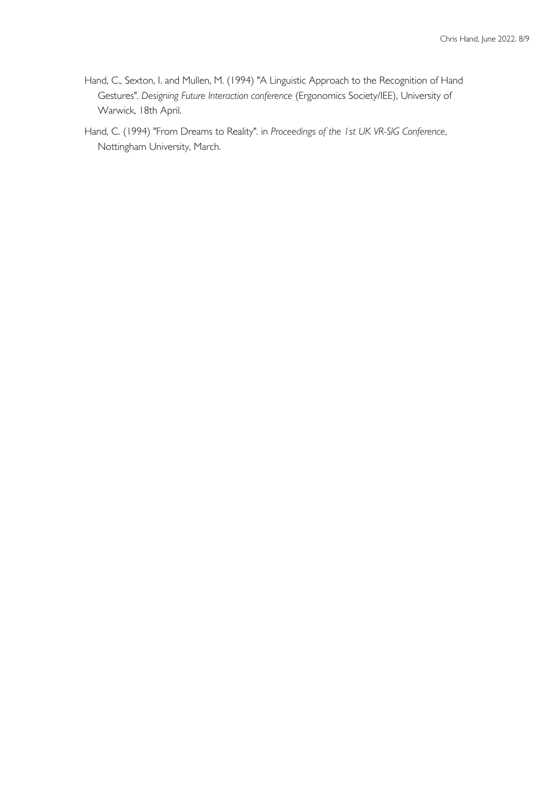- Hand, C., Sexton, I. and Mullen, M. (1994) "A Linguistic Approach to the Recognition of Hand Gestures". *Designing Future Interaction conference* (Ergonomics Society/IEE), University of Warwick, 18th April.
- Hand, C. (1994) "From Dreams to Reality". in *Proceedings of the 1st UK VR-SIG Conference*, Nottingham University, March.